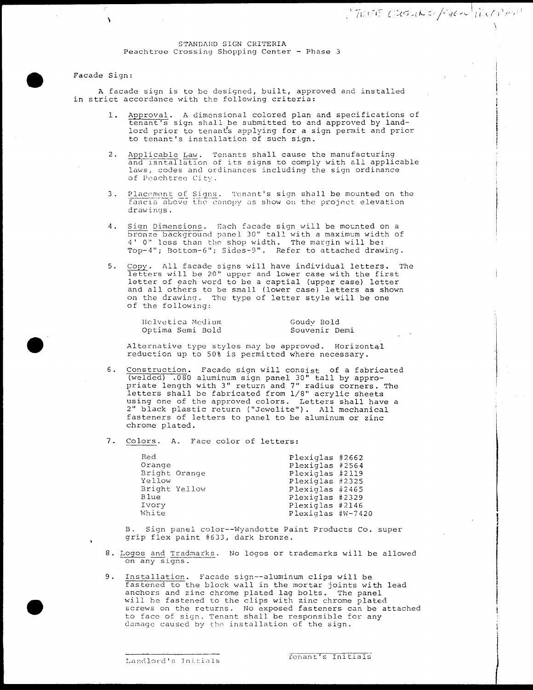## STANDARD SIGN CRITERIA Peachtree Crossing Shopping Center - Phase 3

## Facade Sign

 $\mathbf{v}$ 

e

e

A facade sign is to be designed, built, approved and installed in strict accordance with the following criteria:

- 1. Approval. A dimensional colored plan and specifications of tenant's sign shall be submitted to and approved by land lord prior to tenants applying for a sign permit and prior to tenant's installation of such sign.
- 2. Applicable Law. Tenants shall cause the manufacturing and isntallation of its signs to comply with all applicable laws, codes and ordinances including the sign ordinance of Peachtree City
- 3. Placoment of Signs. Tenant's sign shall be mounted on the<br>Fascia above the canopy as show on the project elevation<br>drawings drawings.
- 4. Sign Dimensions. Each facade sign will be mounted on a sign <u>bimensions</u>. Each facade sign will be mounted on a<br>bronze background panel 30" tall with a maximum width of bronze background panel 30 - Eall with a maximum wide.<br>4' 0" less than the shop width. The margin will be Top-4"; Bottom-6"; Sides-9". Refer to attached drawing.
- 5. Copy. All facade signs will have individual letters. The letters will be 20" upper and lower case with the first letter of each word to be a captial (upper case) letter and all others to be small (lower case) letters as shown on the drawing. The type of letter style will be one of the following

| Helvetica Medium |
|------------------|
| Optima Semi Bold |

Goudy Bold Souvenir Demi

Alternative type styles may be approved. Horizontal reduction up to 50% is permitted where necessary.

- 6. Construction. Facade sign will consist of a fabricated (welded) .080 aluminum sign panel 30" tall by appropriate length with 3" return and 7" radius corners. The letters shall be fabricated from 1/8" acrylic sheets nected but the fubricated from 1/6 deright sheets<br>using one of the approved colors. Letters shall have a<br>2" black plastic return ("Jewelite"). All mechanical fasteners of letters to panel to be aluminum or zinc chrome plated
- 7. Colors. A. Face color of letters:

| Red    |               | Plexiglas #2662   |  |
|--------|---------------|-------------------|--|
| Orange |               | Plexiglas #2564   |  |
|        | Bright Orange | Plexiglas #2119   |  |
| Yellow |               | Plexiglas #2325   |  |
|        | Bright Yellow | Plexiglas #2465   |  |
| Blue   |               | Plexiglas #2329   |  |
| Ivory  |               | Plexiglas #2146   |  |
| White  |               | Plexiglas #W-7420 |  |
|        |               |                   |  |

B. Sign panel color--Wyandotte Paint Products Co. super grip flex paint #633, dark bronze.

- <sup>8</sup> Logos and Iradmarks No logos or trademarks will be allowed on any signs
- 9. Installation. Facade sign--aluminum clips will be **fastened to the block wall in the mortar joints with lead** rastened to the biock wait in the mortal joints with<br>anchors and zinc chrome plated lag bolts. The panel will be fastened to the clips with zinc chrome plated screws on the returns No exposed fasteners can be attached to face of sign Tenant shall be responsible for any damage caused by the installation of the sign.

Landlord's Initials

1

I